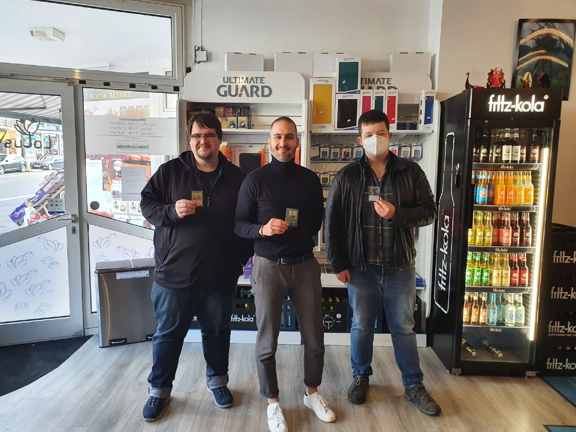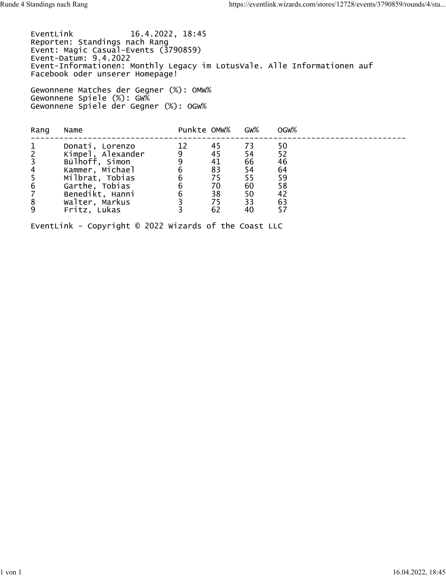EventLink 16.4.2022, 18:45 Reporten: Standings nach Rang Event: Magic Casual-Events (3790859) Event-Datum: 9.4.2022 Event-Informationen: Monthly Legacy im LotusVale. Alle Informationen auf Facebook oder unserer Homepage!

Gewonnene Matches der Gegner (%): OMW% Gewonnene Spiele (%): GW% Gewonnene Spiele der Gegner (%): OGW%

| Rang                                     | Name                                                                                   | Punkte OMW% |                            | $GW\%$                     | OGW%                       |
|------------------------------------------|----------------------------------------------------------------------------------------|-------------|----------------------------|----------------------------|----------------------------|
| $\frac{2}{3}$<br>$\overline{\mathbf{4}}$ | Donati, Lorenzo<br>Kimpel, Alexander<br>Bülhoff, Simon<br>Kammer, Michael              | 6           | 45<br>45<br>41<br>83       | 73<br>54<br>66<br>54       | 50<br>52<br>46<br>64       |
| 5<br>6<br>$\overline{7}$<br>8<br>9       | Milbrat, Tobias<br>Garthe, Tobias<br>Benedikt, Hanni<br>Walter, Markus<br>Fritz, Lukas | 6           | 75<br>70<br>38<br>75<br>62 | 55<br>60<br>50<br>33<br>40 | 59<br>58<br>42<br>63<br>57 |

EventLink - Copyright © 2022 Wizards of the Coast LLC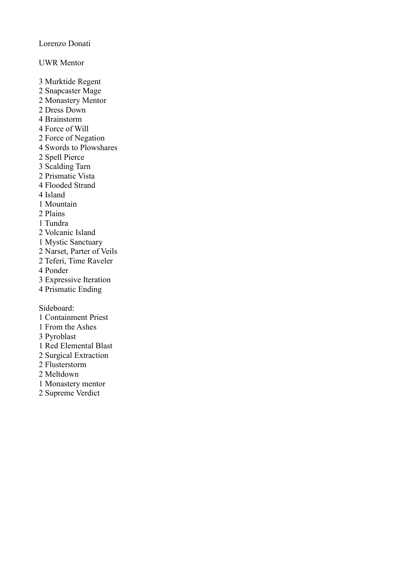## Lorenzo Donati

UWR Mentor

- 3 Murktide Regent 2 Snapcaster Mage 2 Monastery Mentor 2 Dress Down 4 Brainstorm 4 Force of Will 2 Force of Negation 4 Swords to Plowshares 2 Spell Pierce 3 Scalding Tarn 2 Prismatic Vista 4 Flooded Strand 4 Island 1 Mountain 2 Plains 1 Tundra 2 Volcanic Island 1 Mystic Sanctuary 2 Narset, Parter of Veils 2 Teferi, Time Raveler 4 Ponder 3 Expressive Iteration 4 Prismatic Ending Sideboard: 1 Containment Priest 1 From the Ashes 3 Pyroblast 1 Red Elemental Blast 2 Surgical Extraction 2 Flusterstorm 2 Meltdown
- 1 Monastery mentor
- 2 Supreme Verdict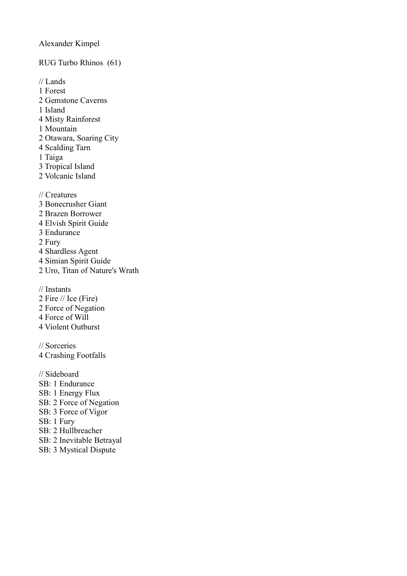## RUG Turbo Rhinos (61)

- // Lands
- 1 Forest
- 2 Gemstone Caverns
- 1 Island
- 4 Misty Rainforest
- 1 Mountain
- 2 Otawara, Soaring City
- 4 Scalding Tarn
- 1 Taiga
- 3 Tropical Island
- 2 Volcanic Island
- // Creatures
- 3 Bonecrusher Giant
- 2 Brazen Borrower
- 4 Elvish Spirit Guide
- 3 Endurance
- 2 Fury
- 4 Shardless Agent
- 4 Simian Spirit Guide
- 2 Uro, Titan of Nature's Wrath
- // Instants
- 2 Fire // Ice (Fire)
- 2 Force of Negation
- 4 Force of Will
- 4 Violent Outburst

// Sorceries 4 Crashing Footfalls

// Sideboard

- SB: 1 Endurance
- SB: 1 Energy Flux
- SB: 2 Force of Negation
- SB: 3 Force of Vigor

SB: 1 Fury

- SB: 2 Hullbreacher
- SB: 2 Inevitable Betrayal
- SB: 3 Mystical Dispute